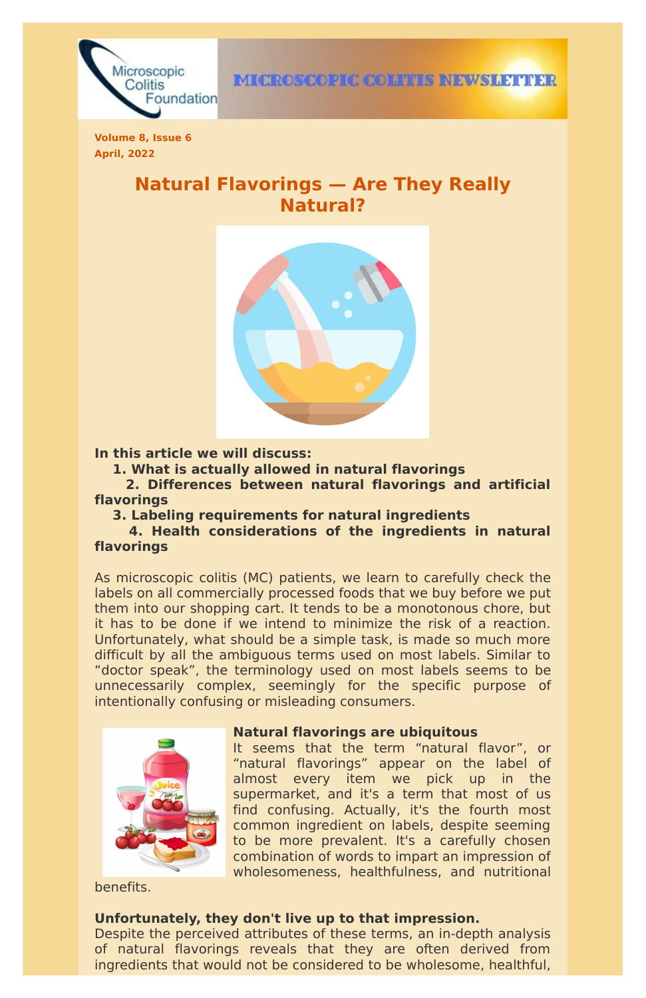

**Volume 8, Issue 6 April, 2022**

# **Natural Flavorings — Are They Really Natural?**



**In this article we will discuss:**

**1. What is actually allowed in natural flavorings**

**2. Differences between natural flavorings and artificial flavorings**

**3. Labeling requirements for natural ingredients**

**4. Health considerations of the ingredients in natural flavorings**

As microscopic colitis (MC) patients, we learn to carefully check the labels on all commercially processed foods that we buy before we put them into our shopping cart. It tends to be a monotonous chore, but it has to be done if we intend to minimize the risk of a reaction. Unfortunately, what should be a simple task, is made so much more difficult by all the ambiguous terms used on most labels. Similar to "doctor speak", the terminology used on most labels seems to be unnecessarily complex, seemingly for the specific purpose of intentionally confusing or misleading consumers.

**Natural flavorings are ubiquitous**



It seems that the term "natural flavor", or "natural flavorings" appear on the label of almost every item we pick up in the supermarket, and it's a term that most of us find confusing. Actually, it's the fourth most common ingredient on labels, despite seeming to be more prevalent. It's a carefully chosen combination of words to impart an impression of wholesomeness, healthfulness, and nutritional

#### benefits.

#### **Unfortunately, they don't live up to that impression.**

Despite the perceived attributes of these terms, an in-depth analysis of natural flavorings reveals that they are often derived from ingredients that would not be considered to be wholesome, healthful,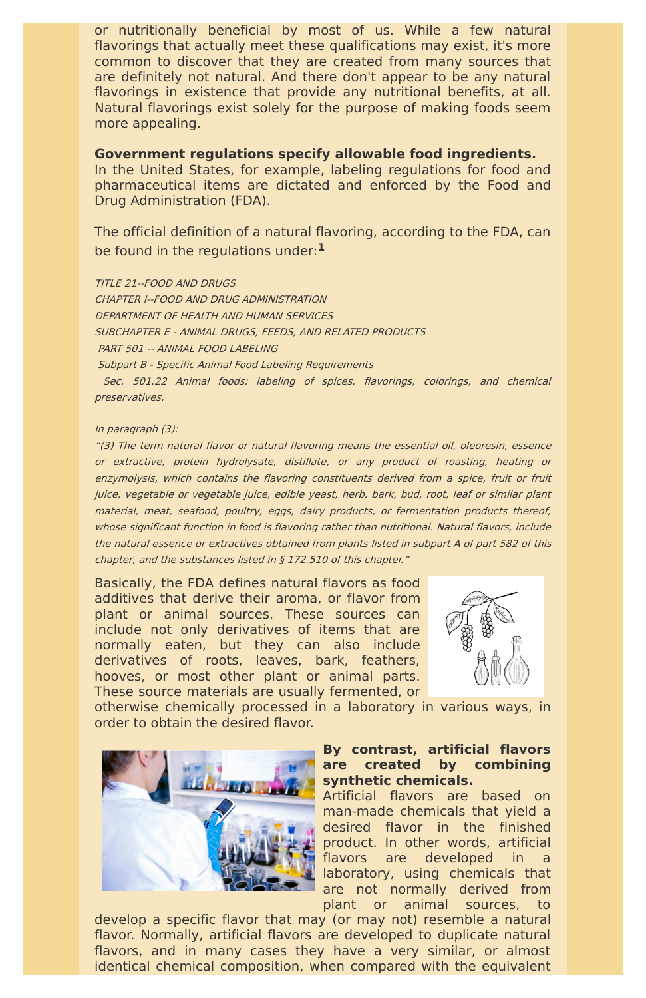or nutritionally beneficial by most of us. While a few natural flavorings that actually meet these qualifications may exist, it's more common to discover that they are created from many sources that are definitely not natural. And there don't appear to be any natural flavorings in existence that provide any nutritional benefits, at all. Natural flavorings exist solely for the purpose of making foods seem more appealing.

**Government regulations specify allowable food ingredients.**

In the United States, for example, labeling regulations for food and pharmaceutical items are dictated and enforced by the Food and Drug Administration (FDA).

The official definition of a natural flavoring, according to the FDA, can be found in the regulations under: **1**

TITLE 21--FOOD AND DRUGS

CHAPTER I--FOOD AND DRUG ADMINISTRATION

DEPARTMENT OF HEALTH AND HUMAN SERVICES

SUBCHAPTER E - ANIMAL DRUGS, FEEDS, AND RELATED PRODUCTS

PART 501 -- ANIMAL FOOD LABELING

Subpart B - Specific Animal Food Labeling Requirements

Sec. 501.22 Animal foods; labeling of spices, flavorings, colorings, and chemical preservatives.

#### In paragraph (3):

"(3) The term natural flavor or natural flavoring means the essential oil, oleoresin, essence or extractive, protein hydrolysate, distillate, or any product of roasting, heating or enzymolysis, which contains the flavoring constituents derived from <sup>a</sup> spice, fruit or fruit juice, vegetable or vegetable juice, edible yeast, herb, bark, bud, root, leaf or similar plant material, meat, seafood, poultry, eggs, dairy products, or fermentation products thereof, whose significant function in food is flavoring rather than nutritional. Natural flavors, include the natural essence or extractives obtained from plants listed in subpart A of part 582 of this chapter, and the substances listed in § 172.510 of this chapter."

Basically, the FDA defines natural flavors as food additives that derive their aroma, or flavor from plant or animal sources. These sources can include not only derivatives of items that are normally eaten, but they can also include derivatives of roots, leaves, bark, feathers, hooves, or most other plant or animal parts. These source materials are usually fermented, or



otherwise chemically processed in a laboratory in various ways, in order to obtain the desired flavor.



# **By contrast, artificial flavors are created by combining synthetic chemicals.**

Artificial flavors are based on man-made chemicals that yield a desired flavor in the finished product. In other words, artificial flavors are developed in a laboratory, using chemicals that are not normally derived from plant or animal sources, to

develop a specific flavor that may (or may not) resemble a natural flavor. Normally, artificial flavors are developed to duplicate natural flavors, and in many cases they have a very similar, or almost identical chemical composition, when compared with the equivalent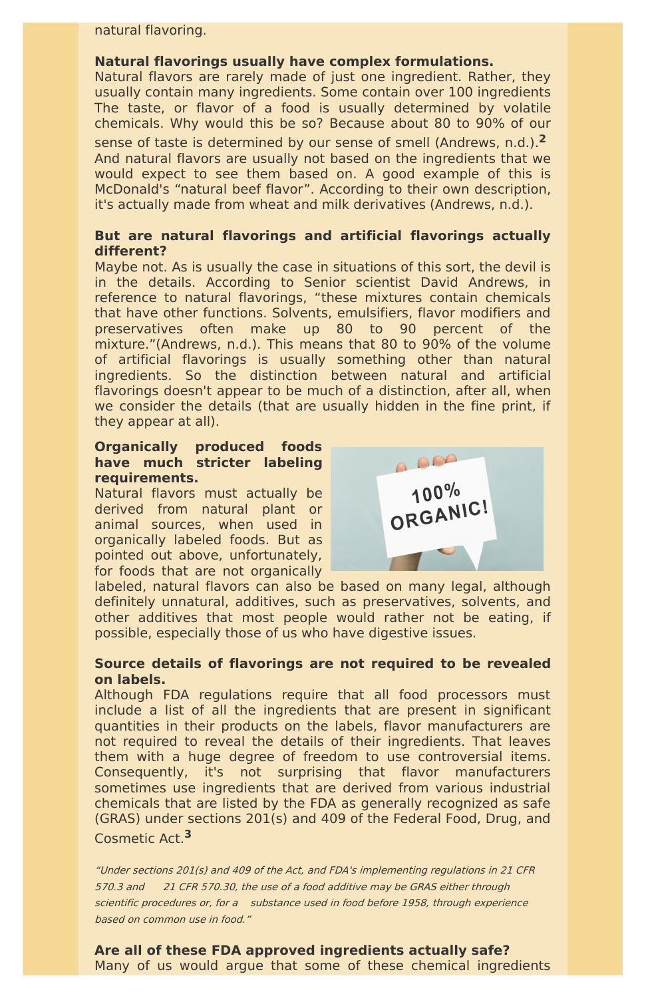natural flavoring.

#### **Natural flavorings usually have complex formulations.**

Natural flavors are rarely made of just one ingredient. Rather, they usually contain many ingredients. Some contain over 100 ingredients The taste, or flavor of a food is usually determined by volatile chemicals. Why would this be so? Because about 80 to 90% of our sense of taste is determined by our sense of smell (Andrews, n.d.). **2** And natural flavors are usually not based on the ingredients that we would expect to see them based on. A good example of this is McDonald's "natural beef flavor". According to their own description, it's actually made from wheat and milk derivatives (Andrews, n.d.).

## **But are natural flavorings and artificial flavorings actually different?**

Maybe not. As is usually the case in situations of this sort, the devil is in the details. According to Senior scientist David Andrews, in reference to natural flavorings, "these mixtures contain chemicals that have other functions. Solvents, emulsifiers, flavor modifiers and preservatives often make up 80 to 90 percent of the mixture."(Andrews, n.d.). This means that 80 to 90% of the volume of artificial flavorings is usually something other than natural ingredients. So the distinction between natural and artificial flavorings doesn't appear to be much of a distinction, after all, when we consider the details (that are usually hidden in the fine print, if they appear at all).

#### **Organically produced foods have much stricter labeling requirements.**

Natural flavors must actually be derived from natural plant or animal sources, when used in organically labeled foods. But as pointed out above, unfortunately, for foods that are not organically



labeled, natural flavors can also be based on many legal, although definitely unnatural, additives, such as preservatives, solvents, and other additives that most people would rather not be eating, if possible, especially those of us who have digestive issues.

# **Source details of flavorings are not required to be revealed on labels.**

Although FDA regulations require that all food processors must include a list of all the ingredients that are present in significant quantities in their products on the labels, flavor manufacturers are not required to reveal the details of their ingredients. That leaves them with a huge degree of freedom to use controversial items. Consequently, it's not surprising that flavor manufacturers sometimes use ingredients that are derived from various industrial chemicals that are listed by the FDA as generally recognized as safe (GRAS) under sections 201(s) and 409 of the Federal Food, Drug, and Cosmetic Act. **3**

"Under sections 201(s) and 409 of the Act, and FDA's implementing regulations in 21 CFR 570.3 and 21 CFR 570.30, the use of <sup>a</sup> food additive may be GRAS either through scientific procedures or, for a substance used in food before 1958, through experience based on common use in food."

**Are all of these FDA approved ingredients actually safe?** Many of us would argue that some of these chemical ingredients